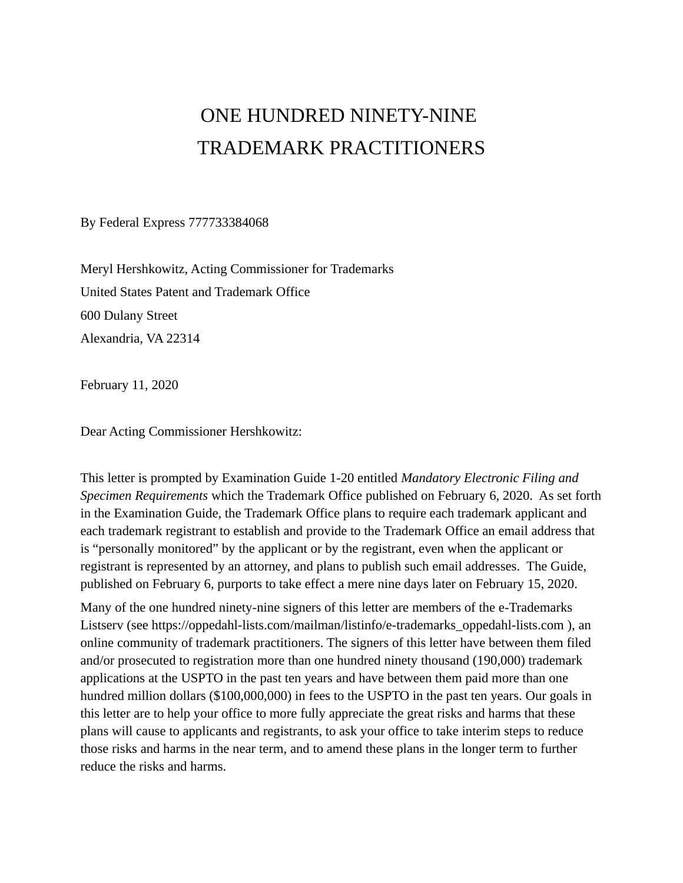# ONE HUNDRED NINETY-NINE TRADEMARK PRACTITIONERS

By Federal Express 777733384068

Meryl Hershkowitz, Acting Commissioner for Trademarks United States Patent and Trademark Office 600 Dulany Street Alexandria, VA 22314

February 11, 2020

Dear Acting Commissioner Hershkowitz:

This letter is prompted by Examination Guide 1-20 entitled *Mandatory Electronic Filing and Specimen Requirements* which the Trademark Office published on February 6, 2020. As set forth in the Examination Guide, the Trademark Office plans to require each trademark applicant and each trademark registrant to establish and provide to the Trademark Office an email address that is "personally monitored" by the applicant or by the registrant, even when the applicant or registrant is represented by an attorney, and plans to publish such email addresses. The Guide, published on February 6, purports to take effect a mere nine days later on February 15, 2020.

Many of the one hundred ninety-nine signers of this letter are members of the e-Trademarks Listserv (see https://oppedahl-lists.com/mailman/listinfo/e-trademarks\_oppedahl-lists.com ), an online community of trademark practitioners. The signers of this letter have between them filed and/or prosecuted to registration more than one hundred ninety thousand (190,000) trademark applications at the USPTO in the past ten years and have between them paid more than one hundred million dollars (\$100,000,000) in fees to the USPTO in the past ten years. Our goals in this letter are to help your office to more fully appreciate the great risks and harms that these plans will cause to applicants and registrants, to ask your office to take interim steps to reduce those risks and harms in the near term, and to amend these plans in the longer term to further reduce the risks and harms.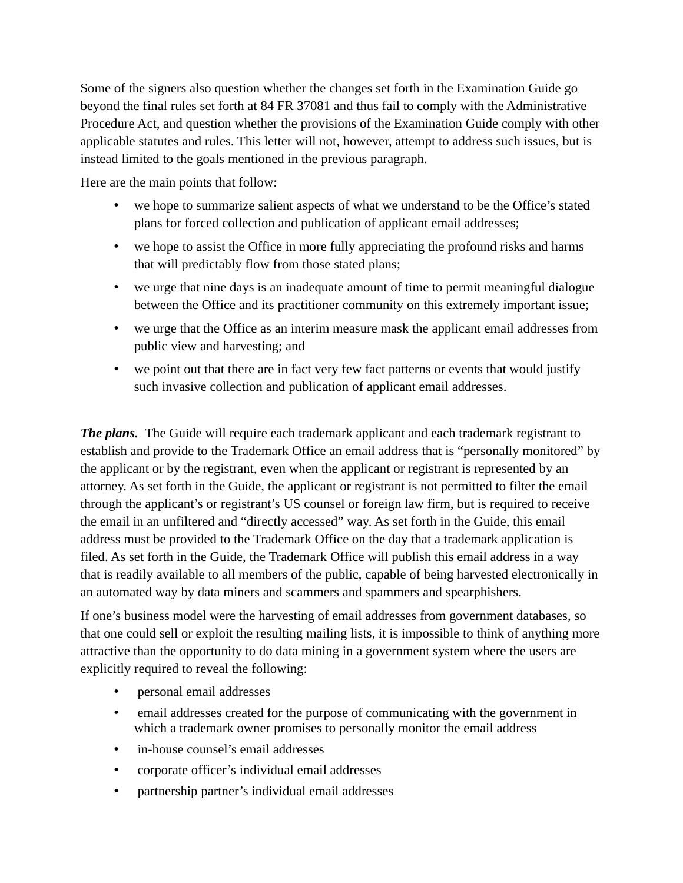Some of the signers also question whether the changes set forth in the Examination Guide go beyond the final rules set forth at 84 FR 37081 and thus fail to comply with the Administrative Procedure Act, and question whether the provisions of the Examination Guide comply with other applicable statutes and rules. This letter will not, however, attempt to address such issues, but is instead limited to the goals mentioned in the previous paragraph.

Here are the main points that follow:

- we hope to summarize salient aspects of what we understand to be the Office's stated plans for forced collection and publication of applicant email addresses;
- we hope to assist the Office in more fully appreciating the profound risks and harms that will predictably flow from those stated plans;
- we urge that nine days is an inadequate amount of time to permit meaningful dialogue between the Office and its practitioner community on this extremely important issue;
- we urge that the Office as an interim measure mask the applicant email addresses from public view and harvesting; and
- we point out that there are in fact very few fact patterns or events that would justify such invasive collection and publication of applicant email addresses.

**The plans.** The Guide will require each trademark applicant and each trademark registrant to establish and provide to the Trademark Office an email address that is "personally monitored" by the applicant or by the registrant, even when the applicant or registrant is represented by an attorney. As set forth in the Guide, the applicant or registrant is not permitted to filter the email through the applicant's or registrant's US counsel or foreign law firm, but is required to receive the email in an unfiltered and "directly accessed" way. As set forth in the Guide, this email address must be provided to the Trademark Office on the day that a trademark application is filed. As set forth in the Guide, the Trademark Office will publish this email address in a way that is readily available to all members of the public, capable of being harvested electronically in an automated way by data miners and scammers and spammers and spearphishers.

If one's business model were the harvesting of email addresses from government databases, so that one could sell or exploit the resulting mailing lists, it is impossible to think of anything more attractive than the opportunity to do data mining in a government system where the users are explicitly required to reveal the following:

- personal email addresses
- email addresses created for the purpose of communicating with the government in which a trademark owner promises to personally monitor the email address
- in-house counsel's email addresses
- corporate officer's individual email addresses
- partnership partner's individual email addresses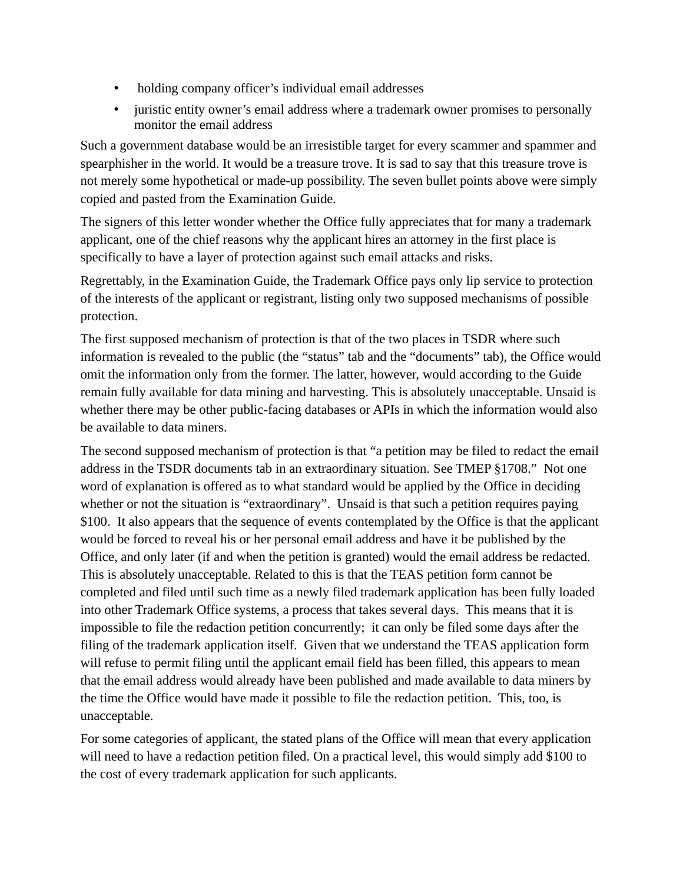- holding company officer's individual email addresses
- juristic entity owner's email address where a trademark owner promises to personally monitor the email address

Such a government database would be an irresistible target for every scammer and spammer and spearphisher in the world. It would be a treasure trove. It is sad to say that this treasure trove is not merely some hypothetical or made-up possibility. The seven bullet points above were simply copied and pasted from the Examination Guide.

The signers of this letter wonder whether the Office fully appreciates that for many a trademark applicant, one of the chief reasons why the applicant hires an attorney in the first place is specifically to have a layer of protection against such email attacks and risks.

Regrettably, in the Examination Guide, the Trademark Office pays only lip service to protection of the interests of the applicant or registrant, listing only two supposed mechanisms of possible protection.

The first supposed mechanism of protection is that of the two places in TSDR where such information is revealed to the public (the "status" tab and the "documents" tab), the Office would omit the information only from the former. The latter, however, would according to the Guide remain fully available for data mining and harvesting. This is absolutely unacceptable. Unsaid is whether there may be other public-facing databases or APIs in which the information would also be available to data miners.

The second supposed mechanism of protection is that "a petition may be filed to redact the email address in the TSDR documents tab in an extraordinary situation. See TMEP §1708." Not one word of explanation is offered as to what standard would be applied by the Office in deciding whether or not the situation is "extraordinary". Unsaid is that such a petition requires paying \$100. It also appears that the sequence of events contemplated by the Office is that the applicant would be forced to reveal his or her personal email address and have it be published by the Office, and only later (if and when the petition is granted) would the email address be redacted. This is absolutely unacceptable. Related to this is that the TEAS petition form cannot be completed and filed until such time as a newly filed trademark application has been fully loaded into other Trademark Office systems, a process that takes several days. This means that it is impossible to file the redaction petition concurrently; it can only be filed some days after the filing of the trademark application itself. Given that we understand the TEAS application form will refuse to permit filing until the applicant email field has been filled, this appears to mean that the email address would already have been published and made available to data miners by the time the Office would have made it possible to file the redaction petition. This, too, is unacceptable.

For some categories of applicant, the stated plans of the Office will mean that every application will need to have a redaction petition filed. On a practical level, this would simply add \$100 to the cost of every trademark application for such applicants.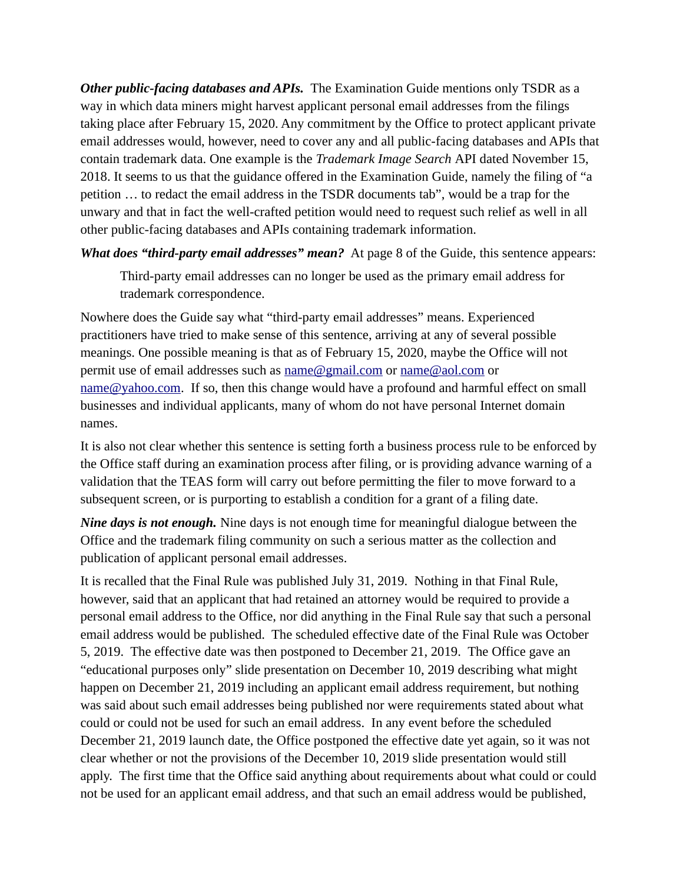*Other public-facing databases and APIs.* The Examination Guide mentions only TSDR as a way in which data miners might harvest applicant personal email addresses from the filings taking place after February 15, 2020. Any commitment by the Office to protect applicant private email addresses would, however, need to cover any and all public-facing databases and APIs that contain trademark data. One example is the *Trademark Image Search* API dated November 15, 2018. It seems to us that the guidance offered in the Examination Guide, namely the filing of "a petition … to redact the email address in the TSDR documents tab", would be a trap for the unwary and that in fact the well-crafted petition would need to request such relief as well in all other public-facing databases and APIs containing trademark information.

*What does "third-party email addresses" mean?* At page 8 of the Guide, this sentence appears:

Third-party email addresses can no longer be used as the primary email address for trademark correspondence.

Nowhere does the Guide say what "third-party email addresses" means. Experienced practitioners have tried to make sense of this sentence, arriving at any of several possible meanings. One possible meaning is that as of February 15, 2020, maybe the Office will not permit use of email addresses such as  $name@gmail.com$  or  $name@aol.com$  or [name@yahoo.com](mailto:name@yahoo.com). If so, then this change would have a profound and harmful effect on small businesses and individual applicants, many of whom do not have personal Internet domain names.

It is also not clear whether this sentence is setting forth a business process rule to be enforced by the Office staff during an examination process after filing, or is providing advance warning of a validation that the TEAS form will carry out before permitting the filer to move forward to a subsequent screen, or is purporting to establish a condition for a grant of a filing date.

*Nine days is not enough.* Nine days is not enough time for meaningful dialogue between the Office and the trademark filing community on such a serious matter as the collection and publication of applicant personal email addresses.

It is recalled that the Final Rule was published July 31, 2019. Nothing in that Final Rule, however, said that an applicant that had retained an attorney would be required to provide a personal email address to the Office, nor did anything in the Final Rule say that such a personal email address would be published. The scheduled effective date of the Final Rule was October 5, 2019. The effective date was then postponed to December 21, 2019. The Office gave an "educational purposes only" slide presentation on December 10, 2019 describing what might happen on December 21, 2019 including an applicant email address requirement, but nothing was said about such email addresses being published nor were requirements stated about what could or could not be used for such an email address. In any event before the scheduled December 21, 2019 launch date, the Office postponed the effective date yet again, so it was not clear whether or not the provisions of the December 10, 2019 slide presentation would still apply. The first time that the Office said anything about requirements about what could or could not be used for an applicant email address, and that such an email address would be published,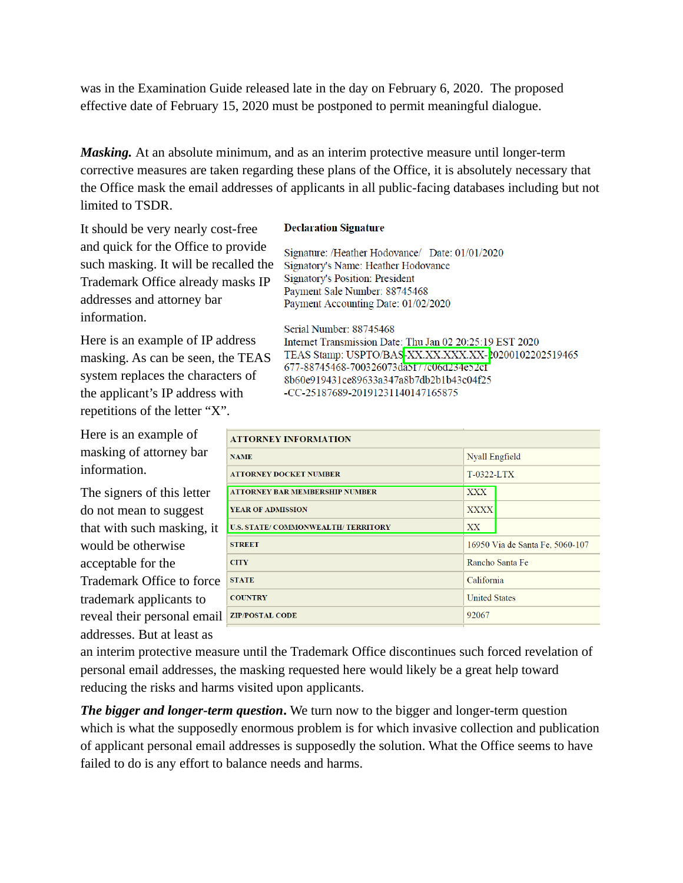was in the Examination Guide released late in the day on February 6, 2020. The proposed effective date of February 15, 2020 must be postponed to permit meaningful dialogue.

*Masking.* At an absolute minimum, and as an interim protective measure until longer-term corrective measures are taken regarding these plans of the Office, it is absolutely necessary that the Office mask the email addresses of applicants in all public-facing databases including but not limited to TSDR.

It should be very nearly cost-free and quick for the Office to provide such masking. It will be recalled the Trademark Office already masks IP addresses and attorney bar information.

Here is an example of IP address masking. As can be seen, the TEAS system replaces the characters of the applicant's IP address with repetitions of the letter "X".

Here is an example of masking of attorney bar information.

The signers of this letter do not mean to suggest that with such masking, it would be otherwise acceptable for the Trademark Office to force trademark applicants to reveal their personal email addresses. But at least as

#### **Declaration Signature**

Signature: /Heather Hodovance/ Date: 01/01/2020 Signatory's Name: Heather Hodovance **Signatory's Position: President** Payment Sale Number: 88745468 Payment Accounting Date: 01/02/2020

Serial Number: 88745468 Internet Transmission Date: Thu Jan 02 20:25:19 EST 2020 TEAS Stamp: USPTO/BAS-XX.XX.XXX.XX-20200102202519465 677-88745468-700326073da5f77c06d234e52cf 8b60e919431ce89633a347a8b7db2b1b43c04f25 -CC-25187689-20191231140147165875

| <b>ATTORNEY INFORMATION</b>           |                                 |  |
|---------------------------------------|---------------------------------|--|
| <b>NAME</b>                           | Nyall Engfield                  |  |
| <b>ATTORNEY DOCKET NUMBER</b>         | $T-0322 - LTX$                  |  |
| <b>ATTORNEY BAR MEMBERSHIP NUMBER</b> | <b>XXX</b>                      |  |
| YEAR OF ADMISSION                     | <b>XXXX</b>                     |  |
| U.S. STATE/COMMONWEALTH/TERRITORY     | XX                              |  |
| <b>STREET</b>                         | 16950 Via de Santa Fe, 5060-107 |  |
| <b>CITY</b>                           | Rancho Santa Fe                 |  |
| <b>STATE</b>                          | California                      |  |
| <b>COUNTRY</b>                        | <b>United States</b>            |  |
| <b>ZIP/POSTAL CODE</b>                | 92067                           |  |
|                                       |                                 |  |

an interim protective measure until the Trademark Office discontinues such forced revelation of personal email addresses, the masking requested here would likely be a great help toward reducing the risks and harms visited upon applicants.

*The bigger and longer-term question***.** We turn now to the bigger and longer-term question which is what the supposedly enormous problem is for which invasive collection and publication of applicant personal email addresses is supposedly the solution. What the Office seems to have failed to do is any effort to balance needs and harms.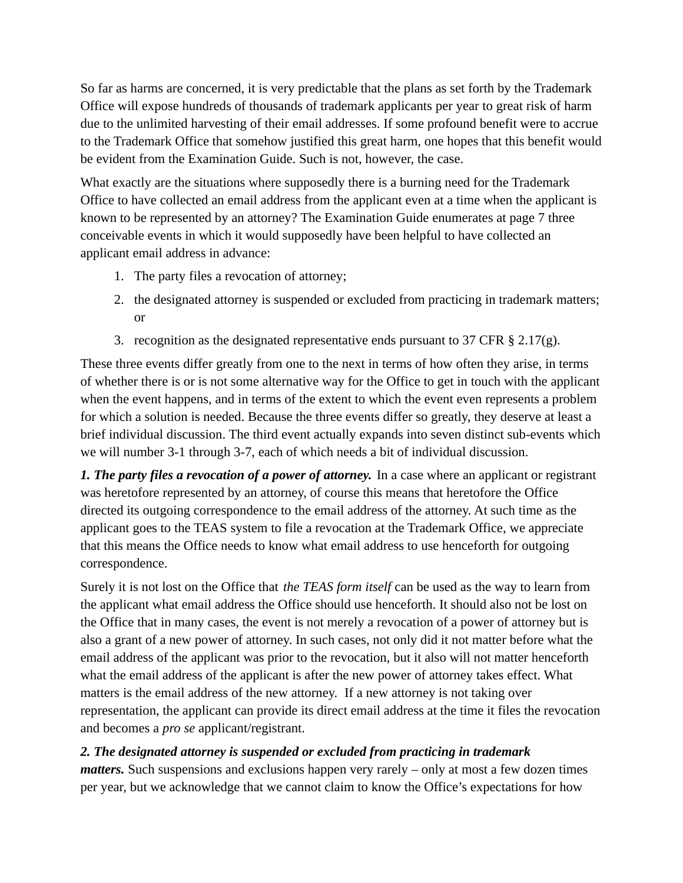So far as harms are concerned, it is very predictable that the plans as set forth by the Trademark Office will expose hundreds of thousands of trademark applicants per year to great risk of harm due to the unlimited harvesting of their email addresses. If some profound benefit were to accrue to the Trademark Office that somehow justified this great harm, one hopes that this benefit would be evident from the Examination Guide. Such is not, however, the case.

What exactly are the situations where supposedly there is a burning need for the Trademark Office to have collected an email address from the applicant even at a time when the applicant is known to be represented by an attorney? The Examination Guide enumerates at page 7 three conceivable events in which it would supposedly have been helpful to have collected an applicant email address in advance:

- 1. The party files a revocation of attorney;
- 2. the designated attorney is suspended or excluded from practicing in trademark matters; or
- 3. recognition as the designated representative ends pursuant to  $37$  CFR § 2.17(g).

These three events differ greatly from one to the next in terms of how often they arise, in terms of whether there is or is not some alternative way for the Office to get in touch with the applicant when the event happens, and in terms of the extent to which the event even represents a problem for which a solution is needed. Because the three events differ so greatly, they deserve at least a brief individual discussion. The third event actually expands into seven distinct sub-events which we will number 3-1 through 3-7, each of which needs a bit of individual discussion.

*1. The party files a revocation of a power of attorney.* In a case where an applicant or registrant was heretofore represented by an attorney, of course this means that heretofore the Office directed its outgoing correspondence to the email address of the attorney. At such time as the applicant goes to the TEAS system to file a revocation at the Trademark Office, we appreciate that this means the Office needs to know what email address to use henceforth for outgoing correspondence.

Surely it is not lost on the Office that *the TEAS form itself* can be used as the way to learn from the applicant what email address the Office should use henceforth. It should also not be lost on the Office that in many cases, the event is not merely a revocation of a power of attorney but is also a grant of a new power of attorney. In such cases, not only did it not matter before what the email address of the applicant was prior to the revocation, but it also will not matter henceforth what the email address of the applicant is after the new power of attorney takes effect. What matters is the email address of the new attorney. If a new attorney is not taking over representation, the applicant can provide its direct email address at the time it files the revocation and becomes a *pro se* applicant/registrant.

### *2. The designated attorney is suspended or excluded from practicing in trademark*

*matters*. Such suspensions and exclusions happen very rarely – only at most a few dozen times per year, but we acknowledge that we cannot claim to know the Office's expectations for how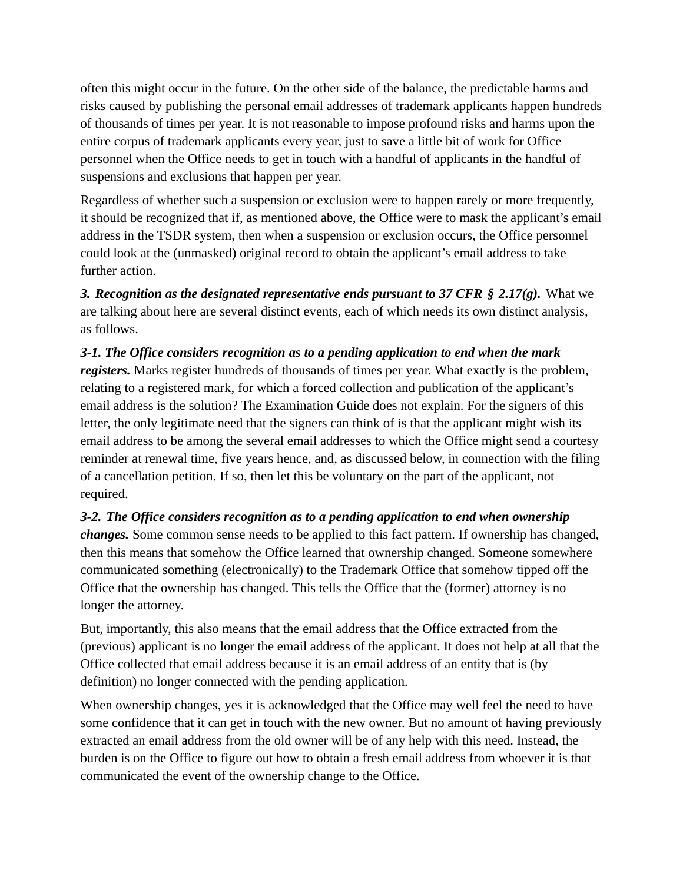often this might occur in the future. On the other side of the balance, the predictable harms and risks caused by publishing the personal email addresses of trademark applicants happen hundreds of thousands of times per year. It is not reasonable to impose profound risks and harms upon the entire corpus of trademark applicants every year, just to save a little bit of work for Office personnel when the Office needs to get in touch with a handful of applicants in the handful of suspensions and exclusions that happen per year.

Regardless of whether such a suspension or exclusion were to happen rarely or more frequently, it should be recognized that if, as mentioned above, the Office were to mask the applicant's email address in the TSDR system, then when a suspension or exclusion occurs, the Office personnel could look at the (unmasked) original record to obtain the applicant's email address to take further action.

*3. Recognition as the designated representative ends pursuant to 37 CFR § 2.17(g).* What we are talking about here are several distinct events, each of which needs its own distinct analysis, as follows.

### *3-1. The Office considers recognition as to a pending application to end when the mark registers.* Marks register hundreds of thousands of times per year. What exactly is the problem, relating to a registered mark, for which a forced collection and publication of the applicant's email address is the solution? The Examination Guide does not explain. For the signers of this letter, the only legitimate need that the signers can think of is that the applicant might wish its email address to be among the several email addresses to which the Office might send a courtesy reminder at renewal time, five years hence, and, as discussed below, in connection with the filing of a cancellation petition. If so, then let this be voluntary on the part of the applicant, not required.

## *3-2. The Office considers recognition as to a pending application to end when ownership changes.* Some common sense needs to be applied to this fact pattern. If ownership has changed, then this means that somehow the Office learned that ownership changed. Someone somewhere communicated something (electronically) to the Trademark Office that somehow tipped off the Office that the ownership has changed. This tells the Office that the (former) attorney is no longer the attorney.

But, importantly, this also means that the email address that the Office extracted from the (previous) applicant is no longer the email address of the applicant. It does not help at all that the Office collected that email address because it is an email address of an entity that is (by definition) no longer connected with the pending application.

When ownership changes, yes it is acknowledged that the Office may well feel the need to have some confidence that it can get in touch with the new owner. But no amount of having previously extracted an email address from the old owner will be of any help with this need. Instead, the burden is on the Office to figure out how to obtain a fresh email address from whoever it is that communicated the event of the ownership change to the Office.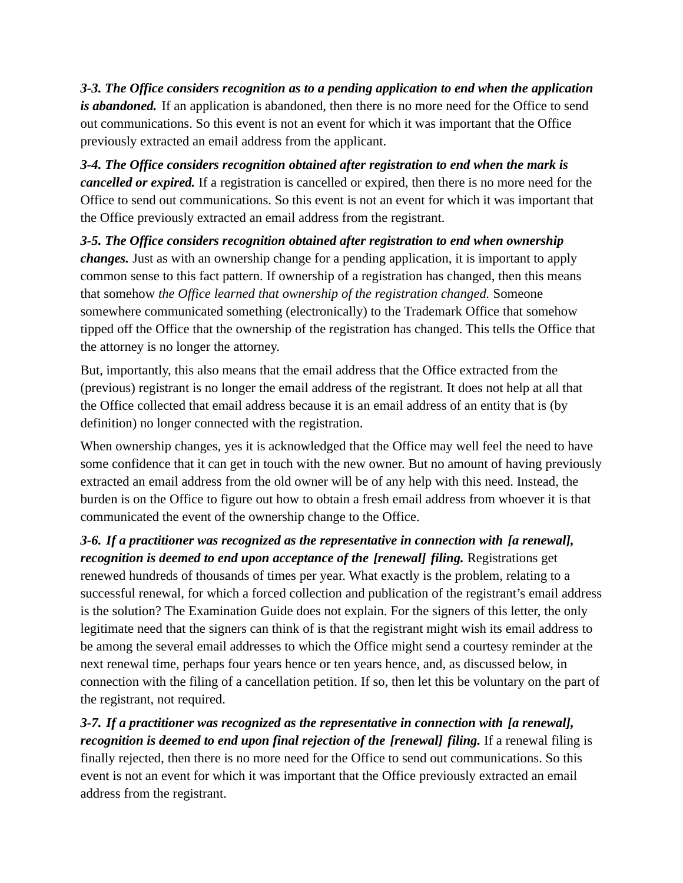*3-3. The Office considers recognition as to a pending application to end when the application is abandoned.* If an application is abandoned, then there is no more need for the Office to send out communications. So this event is not an event for which it was important that the Office previously extracted an email address from the applicant.

*3-4. The Office considers recognition obtained after registration to end when the mark is cancelled or expired.* If a registration is cancelled or expired, then there is no more need for the Office to send out communications. So this event is not an event for which it was important that the Office previously extracted an email address from the registrant.

*3-5. The Office considers recognition obtained after registration to end when ownership changes.* Just as with an ownership change for a pending application, it is important to apply common sense to this fact pattern. If ownership of a registration has changed, then this means that somehow *the Office learned that ownership of the registration changed.* Someone somewhere communicated something (electronically) to the Trademark Office that somehow tipped off the Office that the ownership of the registration has changed. This tells the Office that the attorney is no longer the attorney.

But, importantly, this also means that the email address that the Office extracted from the (previous) registrant is no longer the email address of the registrant. It does not help at all that the Office collected that email address because it is an email address of an entity that is (by definition) no longer connected with the registration.

When ownership changes, yes it is acknowledged that the Office may well feel the need to have some confidence that it can get in touch with the new owner. But no amount of having previously extracted an email address from the old owner will be of any help with this need. Instead, the burden is on the Office to figure out how to obtain a fresh email address from whoever it is that communicated the event of the ownership change to the Office.

*3-6. If a practitioner was recognized as the representative in connection with [a renewal], recognition is deemed to end upon acceptance of the [renewal] filing.* Registrations get renewed hundreds of thousands of times per year. What exactly is the problem, relating to a successful renewal, for which a forced collection and publication of the registrant's email address is the solution? The Examination Guide does not explain. For the signers of this letter, the only legitimate need that the signers can think of is that the registrant might wish its email address to be among the several email addresses to which the Office might send a courtesy reminder at the next renewal time, perhaps four years hence or ten years hence, and, as discussed below, in connection with the filing of a cancellation petition. If so, then let this be voluntary on the part of the registrant, not required.

*3-7. If a practitioner was recognized as the representative in connection with [a renewal], recognition is deemed to end upon final rejection of the [renewal] filing.* If a renewal filing is finally rejected, then there is no more need for the Office to send out communications. So this event is not an event for which it was important that the Office previously extracted an email address from the registrant.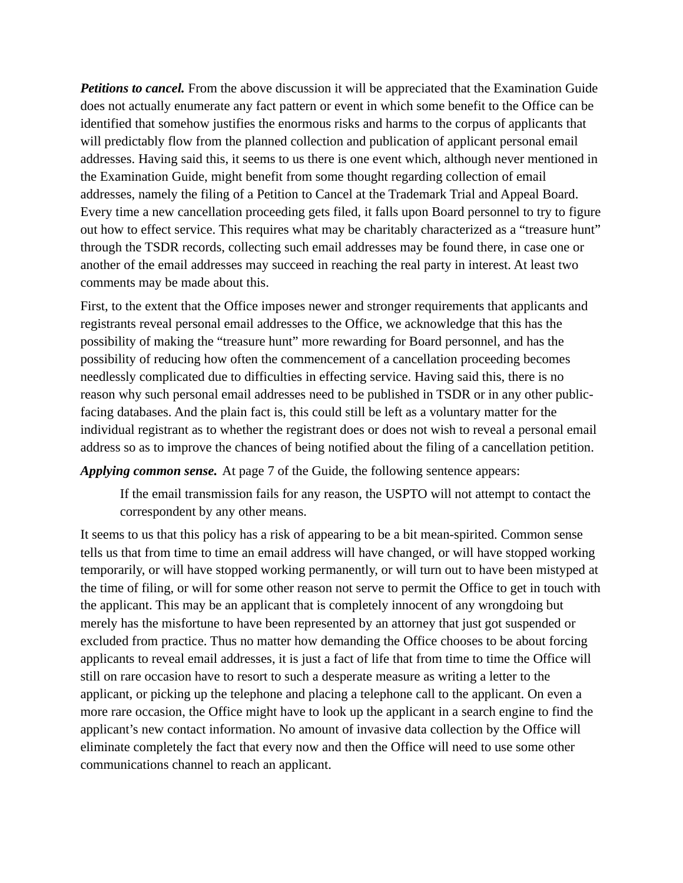**Petitions to cancel.** From the above discussion it will be appreciated that the Examination Guide does not actually enumerate any fact pattern or event in which some benefit to the Office can be identified that somehow justifies the enormous risks and harms to the corpus of applicants that will predictably flow from the planned collection and publication of applicant personal email addresses. Having said this, it seems to us there is one event which, although never mentioned in the Examination Guide, might benefit from some thought regarding collection of email addresses, namely the filing of a Petition to Cancel at the Trademark Trial and Appeal Board. Every time a new cancellation proceeding gets filed, it falls upon Board personnel to try to figure out how to effect service. This requires what may be charitably characterized as a "treasure hunt" through the TSDR records, collecting such email addresses may be found there, in case one or another of the email addresses may succeed in reaching the real party in interest. At least two comments may be made about this.

First, to the extent that the Office imposes newer and stronger requirements that applicants and registrants reveal personal email addresses to the Office, we acknowledge that this has the possibility of making the "treasure hunt" more rewarding for Board personnel, and has the possibility of reducing how often the commencement of a cancellation proceeding becomes needlessly complicated due to difficulties in effecting service. Having said this, there is no reason why such personal email addresses need to be published in TSDR or in any other publicfacing databases. And the plain fact is, this could still be left as a voluntary matter for the individual registrant as to whether the registrant does or does not wish to reveal a personal email address so as to improve the chances of being notified about the filing of a cancellation petition.

*Applying common sense.* At page 7 of the Guide, the following sentence appears:

If the email transmission fails for any reason, the USPTO will not attempt to contact the correspondent by any other means.

It seems to us that this policy has a risk of appearing to be a bit mean-spirited. Common sense tells us that from time to time an email address will have changed, or will have stopped working temporarily, or will have stopped working permanently, or will turn out to have been mistyped at the time of filing, or will for some other reason not serve to permit the Office to get in touch with the applicant. This may be an applicant that is completely innocent of any wrongdoing but merely has the misfortune to have been represented by an attorney that just got suspended or excluded from practice. Thus no matter how demanding the Office chooses to be about forcing applicants to reveal email addresses, it is just a fact of life that from time to time the Office will still on rare occasion have to resort to such a desperate measure as writing a letter to the applicant, or picking up the telephone and placing a telephone call to the applicant. On even a more rare occasion, the Office might have to look up the applicant in a search engine to find the applicant's new contact information. No amount of invasive data collection by the Office will eliminate completely the fact that every now and then the Office will need to use some other communications channel to reach an applicant.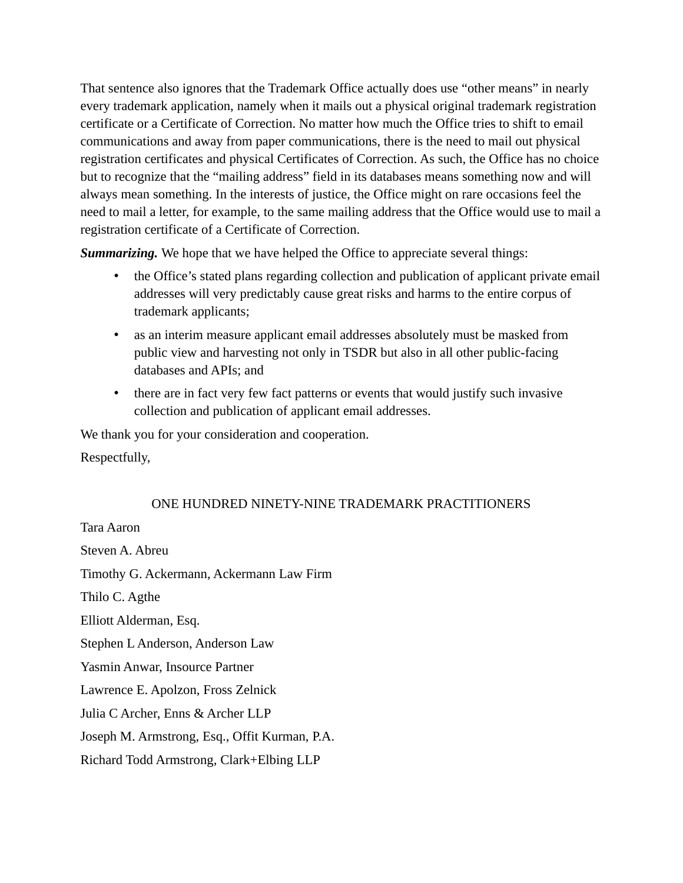That sentence also ignores that the Trademark Office actually does use "other means" in nearly every trademark application, namely when it mails out a physical original trademark registration certificate or a Certificate of Correction. No matter how much the Office tries to shift to email communications and away from paper communications, there is the need to mail out physical registration certificates and physical Certificates of Correction. As such, the Office has no choice but to recognize that the "mailing address" field in its databases means something now and will always mean something. In the interests of justice, the Office might on rare occasions feel the need to mail a letter, for example, to the same mailing address that the Office would use to mail a registration certificate of a Certificate of Correction.

**Summarizing.** We hope that we have helped the Office to appreciate several things:

- the Office's stated plans regarding collection and publication of applicant private email addresses will very predictably cause great risks and harms to the entire corpus of trademark applicants;
- as an interim measure applicant email addresses absolutely must be masked from public view and harvesting not only in TSDR but also in all other public-facing databases and APIs; and
- there are in fact very few fact patterns or events that would justify such invasive collection and publication of applicant email addresses.

We thank you for your consideration and cooperation.

Respectfully,

#### ONE HUNDRED NINETY-NINE TRADEMARK PRACTITIONERS

Tara Aaron Steven A. Abreu Timothy G. Ackermann, Ackermann Law Firm Thilo C. Agthe Elliott Alderman, Esq. Stephen L Anderson, Anderson Law Yasmin Anwar, Insource Partner Lawrence E. Apolzon, Fross Zelnick Julia C Archer, Enns & Archer LLP Joseph M. Armstrong, Esq., Offit Kurman, P.A. Richard Todd Armstrong, Clark+Elbing LLP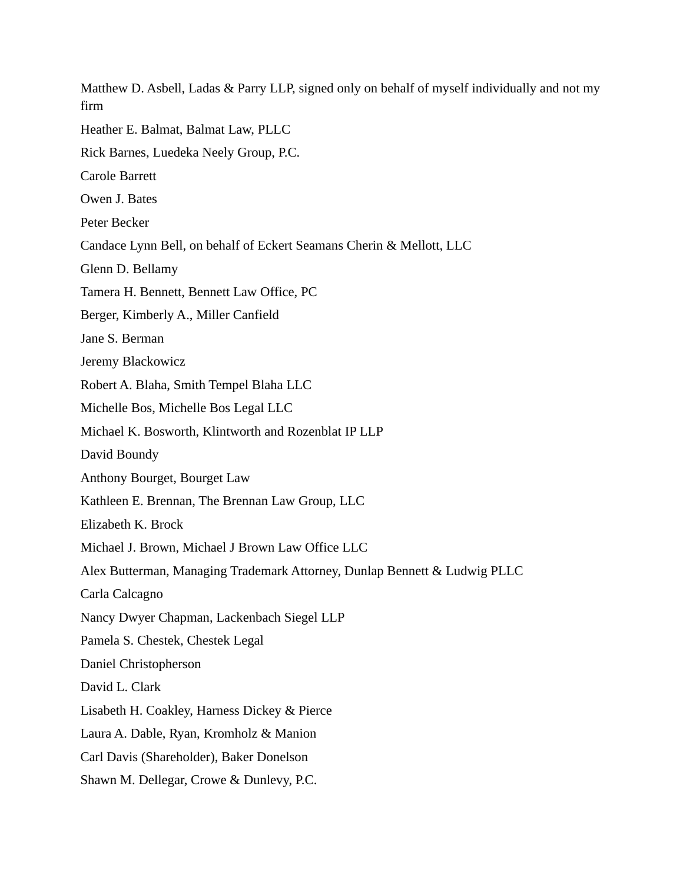Matthew D. Asbell, Ladas & Parry LLP, signed only on behalf of myself individually and not my firm Heather E. Balmat, Balmat Law, PLLC Rick Barnes, Luedeka Neely Group, P.C. Carole Barrett Owen J. Bates Peter Becker Candace Lynn Bell, on behalf of Eckert Seamans Cherin & Mellott, LLC Glenn D. Bellamy Tamera H. Bennett, Bennett Law Office, PC Berger, Kimberly A., Miller Canfield Jane S. Berman Jeremy Blackowicz Robert A. Blaha, Smith Tempel Blaha LLC Michelle Bos, Michelle Bos Legal LLC Michael K. Bosworth, Klintworth and Rozenblat IP LLP David Boundy Anthony Bourget, Bourget Law Kathleen E. Brennan, The Brennan Law Group, LLC Elizabeth K. Brock Michael J. Brown, Michael J Brown Law Office LLC Alex Butterman, Managing Trademark Attorney, Dunlap Bennett & Ludwig PLLC Carla Calcagno Nancy Dwyer Chapman, Lackenbach Siegel LLP Pamela S. Chestek, Chestek Legal Daniel Christopherson David L. Clark Lisabeth H. Coakley, Harness Dickey & Pierce Laura A. Dable, Ryan, Kromholz & Manion Carl Davis (Shareholder), Baker Donelson Shawn M. Dellegar, Crowe & Dunlevy, P.C.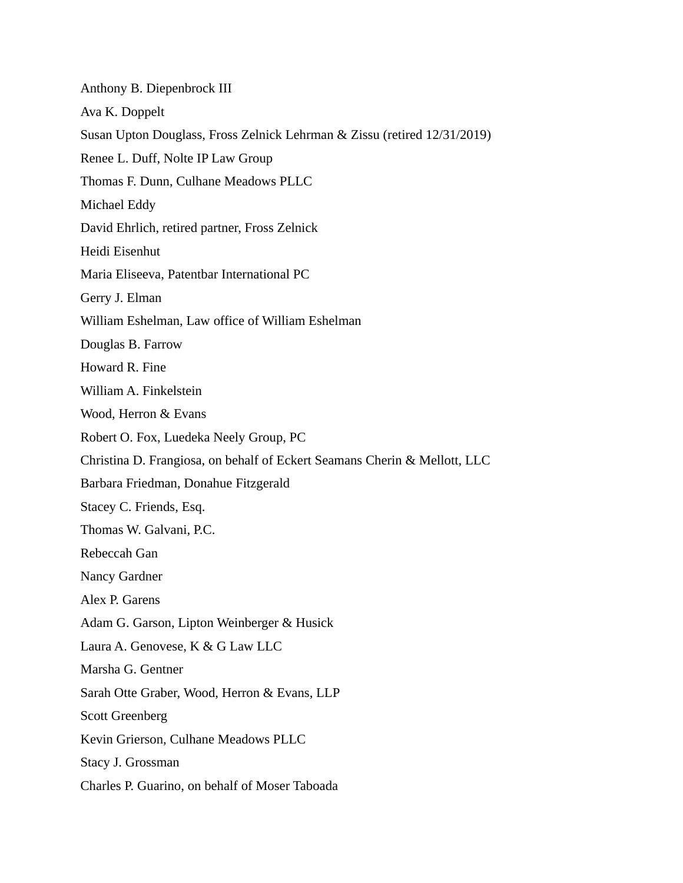Anthony B. Diepenbrock III Ava K. Doppelt Susan Upton Douglass, Fross Zelnick Lehrman & Zissu (retired 12/31/2019) Renee L. Duff, Nolte IP Law Group Thomas F. Dunn, Culhane Meadows PLLC Michael Eddy David Ehrlich, retired partner, Fross Zelnick Heidi Eisenhut Maria Eliseeva, Patentbar International PC Gerry J. Elman William Eshelman, Law office of William Eshelman Douglas B. Farrow Howard R. Fine William A. Finkelstein Wood, Herron & Evans Robert O. Fox, Luedeka Neely Group, PC Christina D. Frangiosa, on behalf of Eckert Seamans Cherin & Mellott, LLC Barbara Friedman, Donahue Fitzgerald Stacey C. Friends, Esq. Thomas W. Galvani, P.C. Rebeccah Gan Nancy Gardner Alex P. Garens Adam G. Garson, Lipton Weinberger & Husick Laura A. Genovese, K & G Law LLC Marsha G. Gentner Sarah Otte Graber, Wood, Herron & Evans, LLP Scott Greenberg Kevin Grierson, Culhane Meadows PLLC Stacy J. Grossman Charles P. Guarino, on behalf of Moser Taboada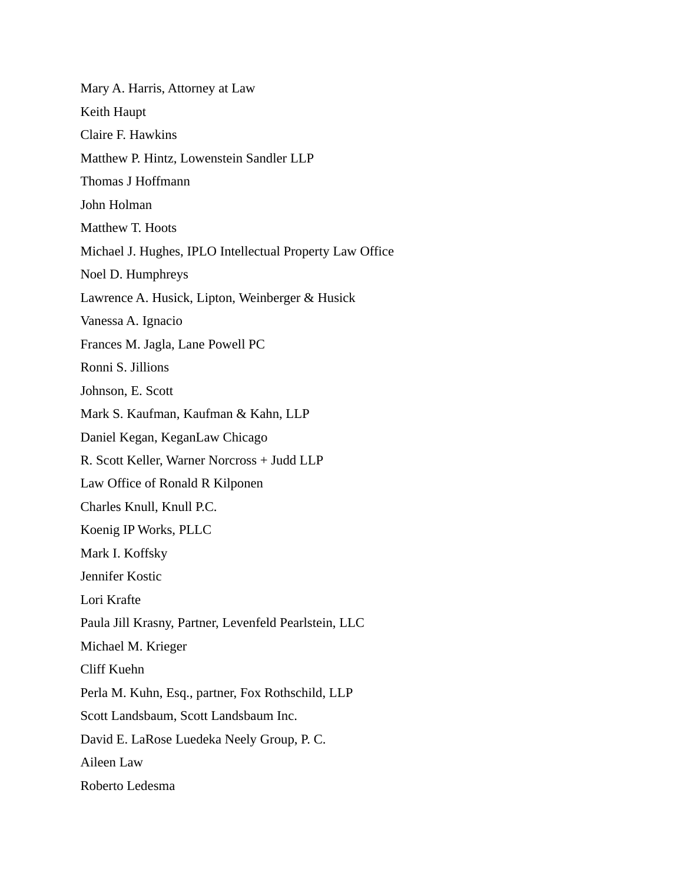Mary A. Harris, Attorney at Law Keith Haupt Claire F. Hawkins Matthew P. Hintz, Lowenstein Sandler LLP Thomas J Hoffmann John Holman Matthew T. Hoots Michael J. Hughes, IPLO Intellectual Property Law Office Noel D. Humphreys Lawrence A. Husick, Lipton, Weinberger & Husick Vanessa A. Ignacio Frances M. Jagla, Lane Powell PC Ronni S. Jillions Johnson, E. Scott Mark S. Kaufman, Kaufman & Kahn, LLP Daniel Kegan, KeganLaw Chicago R. Scott Keller, Warner Norcross + Judd LLP Law Office of Ronald R Kilponen Charles Knull, Knull P.C. Koenig IP Works, PLLC Mark I. Koffsky Jennifer Kostic Lori Krafte Paula Jill Krasny, Partner, Levenfeld Pearlstein, LLC Michael M. Krieger Cliff Kuehn Perla M. Kuhn, Esq., partner, Fox Rothschild, LLP Scott Landsbaum, Scott Landsbaum Inc. David E. LaRose Luedeka Neely Group, P. C. Aileen Law Roberto Ledesma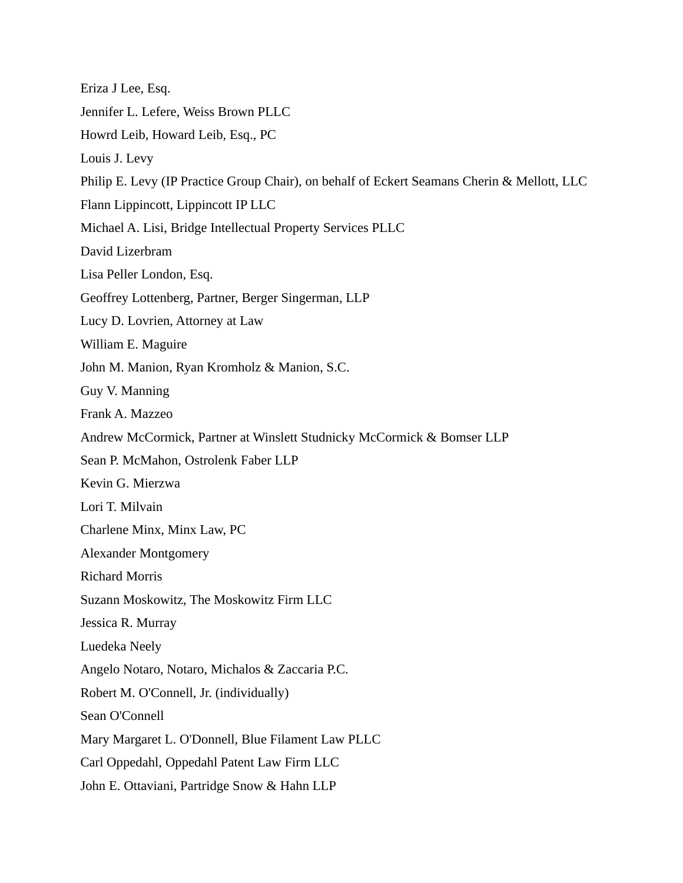Eriza J Lee, Esq. Jennifer L. Lefere, Weiss Brown PLLC Howrd Leib, Howard Leib, Esq., PC Louis J. Levy Philip E. Levy (IP Practice Group Chair), on behalf of Eckert Seamans Cherin & Mellott, LLC Flann Lippincott, Lippincott IP LLC Michael A. Lisi, Bridge Intellectual Property Services PLLC David Lizerbram Lisa Peller London, Esq. Geoffrey Lottenberg, Partner, Berger Singerman, LLP Lucy D. Lovrien, Attorney at Law William E. Maguire John M. Manion, Ryan Kromholz & Manion, S.C. Guy V. Manning Frank A. Mazzeo Andrew McCormick, Partner at Winslett Studnicky McCormick & Bomser LLP Sean P. McMahon, Ostrolenk Faber LLP Kevin G. Mierzwa Lori T. Milvain Charlene Minx, Minx Law, PC Alexander Montgomery Richard Morris Suzann Moskowitz, The Moskowitz Firm LLC Jessica R. Murray Luedeka Neely Angelo Notaro, Notaro, Michalos & Zaccaria P.C. Robert M. O'Connell, Jr. (individually) Sean O'Connell Mary Margaret L. O'Donnell, Blue Filament Law PLLC Carl Oppedahl, Oppedahl Patent Law Firm LLC John E. Ottaviani, Partridge Snow & Hahn LLP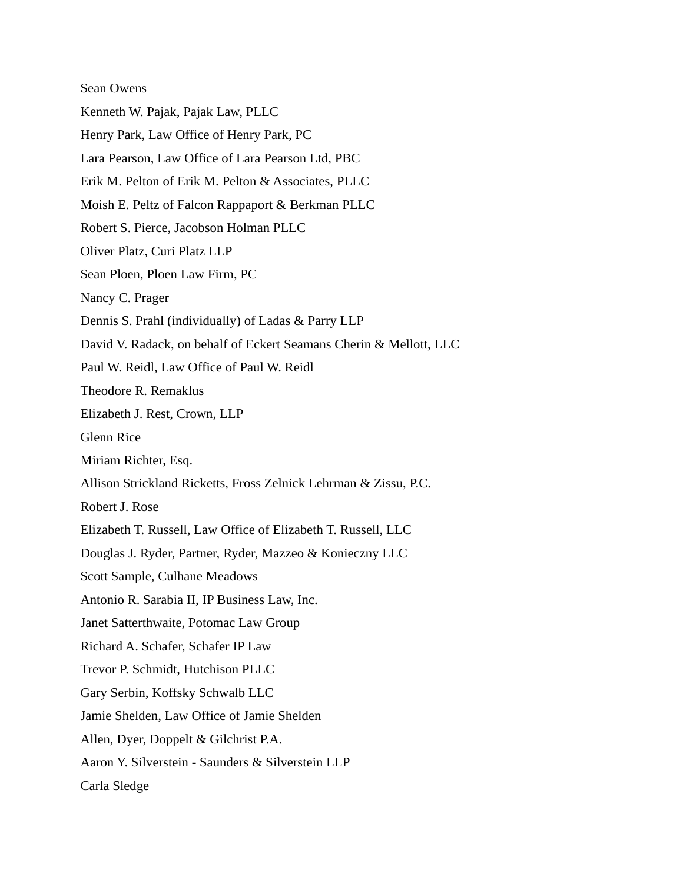Sean Owens Kenneth W. Pajak, Pajak Law, PLLC Henry Park, Law Office of Henry Park, PC Lara Pearson, Law Office of Lara Pearson Ltd, PBC Erik M. Pelton of Erik M. Pelton & Associates, PLLC Moish E. Peltz of Falcon Rappaport & Berkman PLLC Robert S. Pierce, Jacobson Holman PLLC Oliver Platz, Curi Platz LLP Sean Ploen, Ploen Law Firm, PC Nancy C. Prager Dennis S. Prahl (individually) of Ladas & Parry LLP David V. Radack, on behalf of Eckert Seamans Cherin & Mellott, LLC Paul W. Reidl, Law Office of Paul W. Reidl Theodore R. Remaklus Elizabeth J. Rest, Crown, LLP Glenn Rice Miriam Richter, Esq. Allison Strickland Ricketts, Fross Zelnick Lehrman & Zissu, P.C. Robert J. Rose Elizabeth T. Russell, Law Office of Elizabeth T. Russell, LLC Douglas J. Ryder, Partner, Ryder, Mazzeo & Konieczny LLC Scott Sample, Culhane Meadows Antonio R. Sarabia II, IP Business Law, Inc. Janet Satterthwaite, Potomac Law Group Richard A. Schafer, Schafer IP Law Trevor P. Schmidt, Hutchison PLLC Gary Serbin, Koffsky Schwalb LLC Jamie Shelden, Law Office of Jamie Shelden Allen, Dyer, Doppelt & Gilchrist P.A. Aaron Y. Silverstein - Saunders & Silverstein LLP Carla Sledge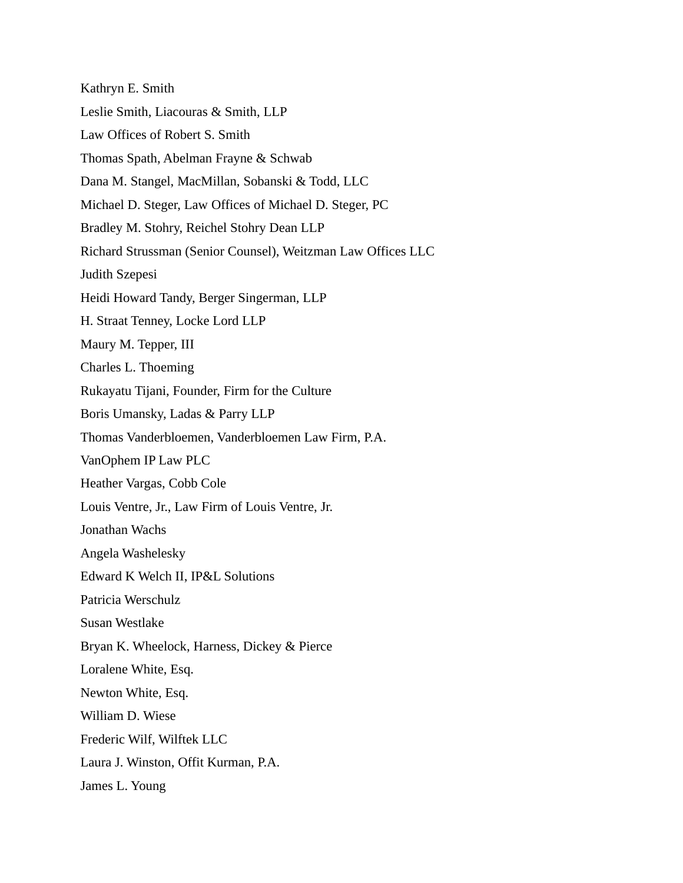Kathryn E. Smith Leslie Smith, Liacouras & Smith, LLP Law Offices of Robert S. Smith Thomas Spath, Abelman Frayne & Schwab Dana M. Stangel, MacMillan, Sobanski & Todd, LLC Michael D. Steger, Law Offices of Michael D. Steger, PC Bradley M. Stohry, Reichel Stohry Dean LLP Richard Strussman (Senior Counsel), Weitzman Law Offices LLC Judith Szepesi Heidi Howard Tandy, Berger Singerman, LLP H. Straat Tenney, Locke Lord LLP Maury M. Tepper, III Charles L. Thoeming Rukayatu Tijani, Founder, Firm for the Culture Boris Umansky, Ladas & Parry LLP Thomas Vanderbloemen, Vanderbloemen Law Firm, P.A. VanOphem IP Law PLC Heather Vargas, Cobb Cole Louis Ventre, Jr., Law Firm of Louis Ventre, Jr. Jonathan Wachs Angela Washelesky Edward K Welch II, IP&L Solutions Patricia Werschulz Susan Westlake Bryan K. Wheelock, Harness, Dickey & Pierce Loralene White, Esq. Newton White, Esq. William D. Wiese Frederic Wilf, Wilftek LLC Laura J. Winston, Offit Kurman, P.A. James L. Young